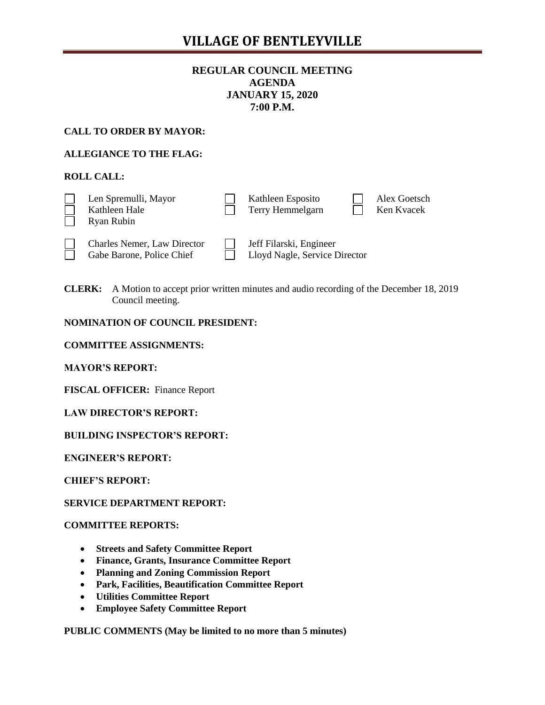# **VILLAGE OF BENTLEYVILLE**

# **REGULAR COUNCIL MEETING AGENDA JANUARY 15, 2020 7:00 P.M.**

### **CALL TO ORDER BY MAYOR:**

## **ALLEGIANCE TO THE FLAG:**

## **ROLL CALL:**

| Len Spremulli, Mayor<br>Kathleen Hale<br>Ryan Rubin             | Kathleen Esposito<br>Terry Hemmelgarn                    | Alex Goetsch<br>Ken Kvacek |
|-----------------------------------------------------------------|----------------------------------------------------------|----------------------------|
| <b>Charles Nemer, Law Director</b><br>Gabe Barone, Police Chief | Jeff Filarski, Engineer<br>Lloyd Nagle, Service Director |                            |

**CLERK:** A Motion to accept prior written minutes and audio recording of the December 18, 2019 Council meeting.

#### **NOMINATION OF COUNCIL PRESIDENT:**

**COMMITTEE ASSIGNMENTS:**

**MAYOR'S REPORT:** 

**FISCAL OFFICER:** Finance Report

**LAW DIRECTOR'S REPORT:**

**BUILDING INSPECTOR'S REPORT:**

**ENGINEER'S REPORT:**

**CHIEF'S REPORT:**

**SERVICE DEPARTMENT REPORT:**

**COMMITTEE REPORTS:** 

- **Streets and Safety Committee Report**
- **Finance, Grants, Insurance Committee Report**
- **Planning and Zoning Commission Report**
- **Park, Facilities, Beautification Committee Report**
- **Utilities Committee Report**
- **Employee Safety Committee Report**

**PUBLIC COMMENTS (May be limited to no more than 5 minutes)**